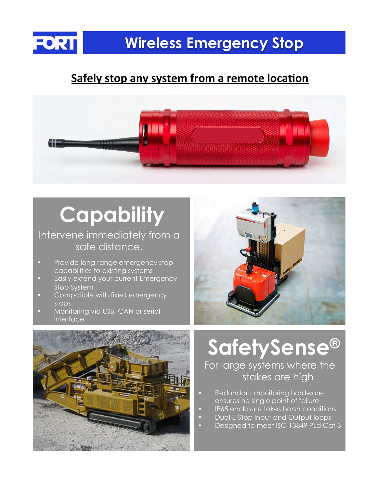

## **Wireless Emergency Stop**

### **Safely stop any system from a remote location**



# **Capability**

#### Intervene immediately from a safe distance.

- Provide long-range emergency stop capabilities to existing systems
- Easily extend your current Emergency Stop System
- Compatible with fixed emergency stops
- Monitoring via USB, CAN or serial interface





**SafetySense®**

For large systems where the stakes are high

- Redundant monitoring hardware ensures no single point of failure
- IP65 enclosure takes harsh conditions
- Dual E-Stop Input and Output loops
- Designed to meet ISO 13849 PLd Cat 3